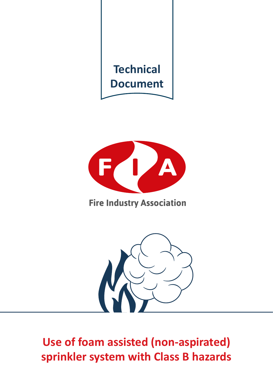



# **Fire Industry Association**



# **Use of foam assisted (non-aspirated) sprinkler system with Class B hazards**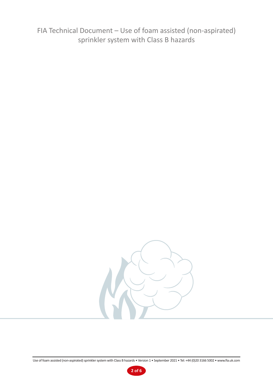FIA Technical Document – Use of foam assisted (non-aspirated) sprinkler system with Class B hazards



Use of foam assisted (non-aspirated) sprinkler system with Class B hazards • Version 1 • September 2021 • Tel: +44 (0)20 3166 5002 • www.fia.uk.com

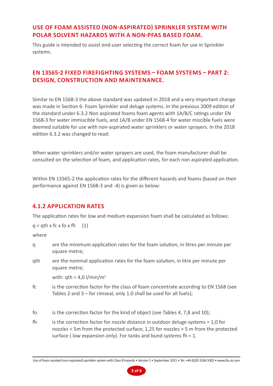#### **USE OF FOAM ASSISTED (NON-ASPIRATED) SPRINKLER SYSTEM WITH POLAR SOLVENT HAZARDS WITH A NON-PFAS BASED FOAM.**

This guide is intended to assist end-user selecting the correct foam for use in Sprinkler systems.

## **EN 13565-2 FIXED FIREFIGHTING SYSTEMS – FOAM SYSTEMS – PART 2: DESIGN, CONSTRUCTION AND MAINTENANCE.**

Similar to EN 1568-3 the above standard was updated in 2018 and a very important change was made in Section 6: Foam Sprinkler and deluge systems. In the previous 2009 edition of the standard under 6.3.2 Non aspirated foams foam agents with 1A/B/C ratings under EN 1568-3 for water immiscible fuels, and 1A/B under EN 1568-4 for water miscible fuels were deemed suitable for use with non-aspirated water sprinklers or water sprayers. In the 2018 edition 6.3.2 was changed to read:

When water sprinklers and/or water sprayers are used, the foam manufacturer shall be consulted on the selection of foam, and application rates, for each non aspirated application.

Within EN 13565-2 the application rates for the different hazards and foams (based on their performance against EN 1568-3 and -4) is given as below:

# **4.1.2 APPLICATION RATES**

The application rates for low and medium expansion foam shall be calculated as follows:

 $q = qth \times fc \times fo \times fh$  (1)

where

- q are the minimum application rates for the foam solution, in litres per minute per square metre;
- qth are the nominal application rates for the foam solution, in litre per minute per square metre;

with:  $qth = 4.0$  l/min/m<sup>2</sup>

- fc is the correction factor for the class of foam concentrate according to EN 1568 (see Tables 2 and 3 – for rimseal, only 1.0 shall be used for all fuels);
- fo is the correction factor for the kind of object (see Tables 4, 7,8 and 10);
- fh is the correction factor for nozzle distance in outdoor deluge systems = 1,0 for nozzles < 5m from the protected surface; 1,25 for nozzles > 5 m from the protected surface (low expansion only). For tanks and bund systems  $fh = 1$ .

Use of foam assisted (non-aspirated) sprinkler system with Class B hazards • Version 1 • September 2021 • Tel: +44 (0)20 3166 5002 • www.fia.uk.com

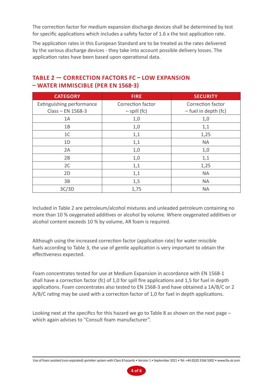The correction factor for medium expansion discharge devices shall be determined by test for specific applications which includes a safety factor of 1.6 x the test application rate.

The application rates in this European Standard are to be treated as the rates delivered by the various discharge devices - they take into account possible delivery losses. The application rates have been based upon operational data.

| <b>CATEGORY</b>           | <b>FIRE</b>       | <b>SECURITY</b>      |  |  |
|---------------------------|-------------------|----------------------|--|--|
| Extinguishing performance | Correction factor | Correction factor    |  |  |
| Class - EN 1568-3         | $-$ spill (fc)    | - fuel in depth (fc) |  |  |
| 1A                        | 1,0               | 1,0                  |  |  |
| 1B                        | 1,0               | 1,1                  |  |  |
| 1 <sup>C</sup>            | 1,1               | 1,25                 |  |  |
| 1D                        | 1,1               | <b>NA</b>            |  |  |
| 2A                        | 1,0               | 1,0                  |  |  |
| 2B                        | 1,0               | 1,1                  |  |  |
| 2C                        | 1,1               | 1,25                 |  |  |
| 2D                        | 1,1               | <b>NA</b>            |  |  |
| 3B                        | 1,5               | <b>NA</b>            |  |  |
| 3C/3D                     | 1,75              | <b>NA</b>            |  |  |

### **TABLE 2 — CORRECTION FACTORS FC – LOW EXPANSION – WATER IMMISCIBLE (PER EN 1568-3)**

Included in Table 2 are petroleum/alcohol mixtures and unleaded petroleum containing no more than 10 % oxygenated additives or alcohol by volume. Where oxygenated additives or alcohol content exceeds 10 % by volume, AR foam is required.

Although using the increased correction factor (application rate) for water miscible fuels according to Table 3, the use of gentle application is very important to obtain the effectiveness expected.

Foam concentrates tested for use at Medium Expansion in accordance with EN 1568-1 shall have a correction factor (fc) of 1,0 for spill fire applications and 1,5 for fuel in depth applications. Foam concentrates also tested to EN 1568-3 and have obtained a 1A/B/C or 2 A/B/C rating may be used with a correction factor of 1,0 for fuel in depth applications.

Looking next at the specifics for this hazard we go to Table 8 as shown on the next page – which again advises to "Consult foam manufacturer".

Use of foam assisted (non-aspirated) sprinkler system with Class B hazards • Version 1 • September 2021 • Tel: +44 (0)20 3166 5002 • www.fia.uk.com

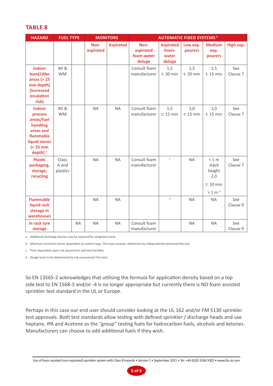#### **TABLE 8**

| <b>HAZARD</b>                                                                                                                               |                            | <b>FUEL TYPE</b><br><b>MONITORS</b> |                   |                  |                                           | <b>AUTOMATIC FIXED SYSTEMS b</b>             |                     |                                                                    |                 |  |
|---------------------------------------------------------------------------------------------------------------------------------------------|----------------------------|-------------------------------------|-------------------|------------------|-------------------------------------------|----------------------------------------------|---------------------|--------------------------------------------------------------------|-----------------|--|
|                                                                                                                                             |                            |                                     | Non-<br>aspirated | <b>Aspirated</b> | Non-<br>aspirated<br>foam-water<br>deluge | <b>Aspirated</b><br>foam-<br>water<br>deluge | Low exp.<br>pourers | <b>Medium</b><br>exp.<br>pourers                                   | High exp.       |  |
| <b>Indoor</b><br>bund/dike<br>areas $(> 25$<br>mm depth)<br>(increased<br>escalation<br>risk)                                               | WI &<br><b>WM</b>          |                                     |                   |                  | Consult foam<br>manufacturer              | 1,5<br>t: 30 min                             | 1,5<br>t: 20 min    | 1,5<br>t: 15 min                                                   | See<br>Clause 7 |  |
| <b>Indoor</b><br>process<br>areas/fuel<br>handling<br>areas and<br>flammable<br>liquid stores<br>$(25 \, \text{mm})$<br>depth) <sup>a</sup> | WI &<br><b>WM</b>          |                                     | <b>NA</b>         | <b>NA</b>        | Consult foam<br>manufacturer              | 1,5<br>$t: 15$ min                           | 1,0<br>$t: 15$ min  | 1,0<br>$t: 15$ min                                                 | See<br>Clause 7 |  |
| <b>Plastic</b><br>packaging,<br>storage,<br>recycling                                                                                       | Class<br>A and<br>plastics |                                     | <b>NA</b>         | <b>NA</b>        | Consult foam<br>manufacturer              | $\mathsf{c}\,$                               | <b>NA</b>           | < 1 m<br>stack<br>height<br>2,0<br>$t:10$ min<br>$>1$ m $^{\rm d}$ | See<br>Clause 7 |  |
| <b>Flammable</b><br>liquid rack<br>storage in<br>warehouses                                                                                 |                            |                                     | <b>NA</b>         | <b>NA</b>        |                                           | $\sf d$                                      | <b>NA</b>           | <b>NA</b>                                                          | See<br>Clause 9 |  |
| In rack tyre<br>storage                                                                                                                     |                            | <b>NA</b>                           | <b>NA</b>         | <b>NA</b>        | Consult foam<br>manufacturer              |                                              | <b>NA</b>           | <b>NA</b>                                                          | See<br>Clause 9 |  |

a Additional discharge devices may be required for congested areas.

b Minimum correction factor dependent on solvent type. This may increase –determine by independently witnessed fire test.

c Time dependent upon risk assessment and local facilities.

d Design basis to be determined by risk assessment/ fire tests.

So EN 13565-2 acknowledges that utilising the formula for application density based on a top side test to EN 1568-3 and/or -4 is no longer appropriate but currently there is NO foam assisted sprinkler test standard in the UL or Europe.

Perhaps in this case our end user should consider looking at the UL 162 and/or FM 5130 sprinkler test approvals. Both test standards allow testing with defined sprinkler / discharge heads and use heptane, IPA and Acetone as the "group" testing fuels for hydrocarbon fuels, alcohols and ketones. Manufacturers can choose to add additional fuels if they wish.

Use of foam assisted (non-aspirated) sprinkler system with Class B hazards • Version 1 • September 2021 • Tel: +44 (0)20 3166 5002 • www.fia.uk.com